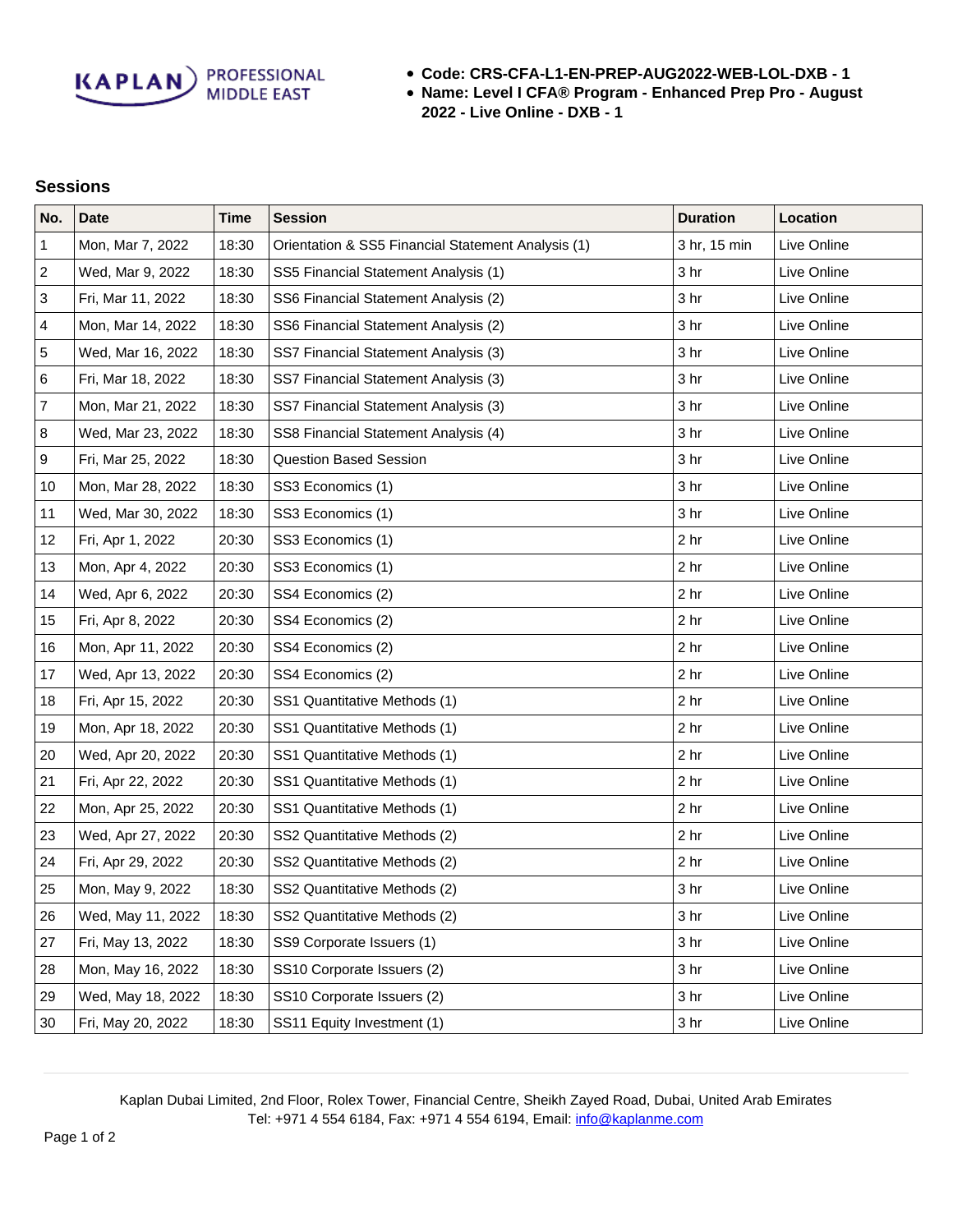**KAPLAN** PROFESSIONAL

- **Code: CRS-CFA-L1-EN-PREP-AUG2022-WEB-LOL-DXB 1**
- **Name: Level I CFA® Program Enhanced Prep Pro August 2022 - Live Online - DXB - 1**

## **Sessions**

| No.              | <b>Date</b>       | <b>Time</b> | <b>Session</b>                                     | <b>Duration</b> | Location    |
|------------------|-------------------|-------------|----------------------------------------------------|-----------------|-------------|
| $\mathbf{1}$     | Mon, Mar 7, 2022  | 18:30       | Orientation & SS5 Financial Statement Analysis (1) | 3 hr, 15 min    | Live Online |
| $\sqrt{2}$       | Wed, Mar 9, 2022  | 18:30       | SS5 Financial Statement Analysis (1)               | 3 hr            | Live Online |
| $\sqrt{3}$       | Fri, Mar 11, 2022 | 18:30       | SS6 Financial Statement Analysis (2)               | 3 <sub>hr</sub> | Live Online |
| 4                | Mon, Mar 14, 2022 | 18:30       | SS6 Financial Statement Analysis (2)               | 3 <sub>hr</sub> | Live Online |
| 5                | Wed, Mar 16, 2022 | 18:30       | SS7 Financial Statement Analysis (3)               | 3 <sub>hr</sub> | Live Online |
| 6                | Fri, Mar 18, 2022 | 18:30       | SS7 Financial Statement Analysis (3)               | 3 <sub>hr</sub> | Live Online |
| $\overline{7}$   | Mon, Mar 21, 2022 | 18:30       | SS7 Financial Statement Analysis (3)               | 3 <sub>hr</sub> | Live Online |
| $\bf 8$          | Wed, Mar 23, 2022 | 18:30       | SS8 Financial Statement Analysis (4)               | 3 <sub>hr</sub> | Live Online |
| $\boldsymbol{9}$ | Fri, Mar 25, 2022 | 18:30       | <b>Question Based Session</b>                      | 3 <sub>hr</sub> | Live Online |
| 10               | Mon, Mar 28, 2022 | 18:30       | SS3 Economics (1)                                  | 3 <sub>hr</sub> | Live Online |
| 11               | Wed, Mar 30, 2022 | 18:30       | SS3 Economics (1)                                  | 3 <sub>hr</sub> | Live Online |
| 12               | Fri, Apr 1, 2022  | 20:30       | SS3 Economics (1)                                  | 2 <sub>hr</sub> | Live Online |
| 13               | Mon, Apr 4, 2022  | 20:30       | SS3 Economics (1)                                  | 2 <sub>hr</sub> | Live Online |
| 14               | Wed, Apr 6, 2022  | 20:30       | SS4 Economics (2)                                  | 2 <sub>hr</sub> | Live Online |
| 15               | Fri, Apr 8, 2022  | 20:30       | SS4 Economics (2)                                  | 2 <sub>hr</sub> | Live Online |
| 16               | Mon, Apr 11, 2022 | 20:30       | SS4 Economics (2)                                  | 2 <sub>hr</sub> | Live Online |
| 17               | Wed, Apr 13, 2022 | 20:30       | SS4 Economics (2)                                  | 2 <sub>hr</sub> | Live Online |
| 18               | Fri, Apr 15, 2022 | 20:30       | SS1 Quantitative Methods (1)                       | 2 <sub>hr</sub> | Live Online |
| 19               | Mon, Apr 18, 2022 | 20:30       | SS1 Quantitative Methods (1)                       | 2 <sub>hr</sub> | Live Online |
| 20               | Wed, Apr 20, 2022 | 20:30       | SS1 Quantitative Methods (1)                       | 2 <sub>hr</sub> | Live Online |
| 21               | Fri, Apr 22, 2022 | 20:30       | SS1 Quantitative Methods (1)                       | 2 <sub>hr</sub> | Live Online |
| 22               | Mon, Apr 25, 2022 | 20:30       | SS1 Quantitative Methods (1)                       | 2 <sub>hr</sub> | Live Online |
| 23               | Wed, Apr 27, 2022 | 20:30       | SS2 Quantitative Methods (2)                       | 2 <sub>hr</sub> | Live Online |
| 24               | Fri, Apr 29, 2022 | 20:30       | SS2 Quantitative Methods (2)                       | 2 <sub>hr</sub> | Live Online |
| 25               | Mon, May 9, 2022  | 18:30       | SS2 Quantitative Methods (2)                       | 3 <sub>hr</sub> | Live Online |
| 26               | Wed, May 11, 2022 | 18:30       | SS2 Quantitative Methods (2)                       | 3 <sub>hr</sub> | Live Online |
| 27               | Fri, May 13, 2022 | 18:30       | SS9 Corporate Issuers (1)                          | 3 <sub>hr</sub> | Live Online |
| 28               | Mon, May 16, 2022 | 18:30       | SS10 Corporate Issuers (2)                         | 3 <sub>hr</sub> | Live Online |
| 29               | Wed, May 18, 2022 | 18:30       | SS10 Corporate Issuers (2)                         | 3 <sub>hr</sub> | Live Online |
| 30               | Fri, May 20, 2022 | 18:30       | SS11 Equity Investment (1)                         | 3 <sub>hr</sub> | Live Online |

Kaplan Dubai Limited, 2nd Floor, Rolex Tower, Financial Centre, Sheikh Zayed Road, Dubai, United Arab Emirates Tel: +971 4 554 6184, Fax: +971 4 554 6194, Email: [info@kaplanme.com](mailto:info@kaplanme.com)